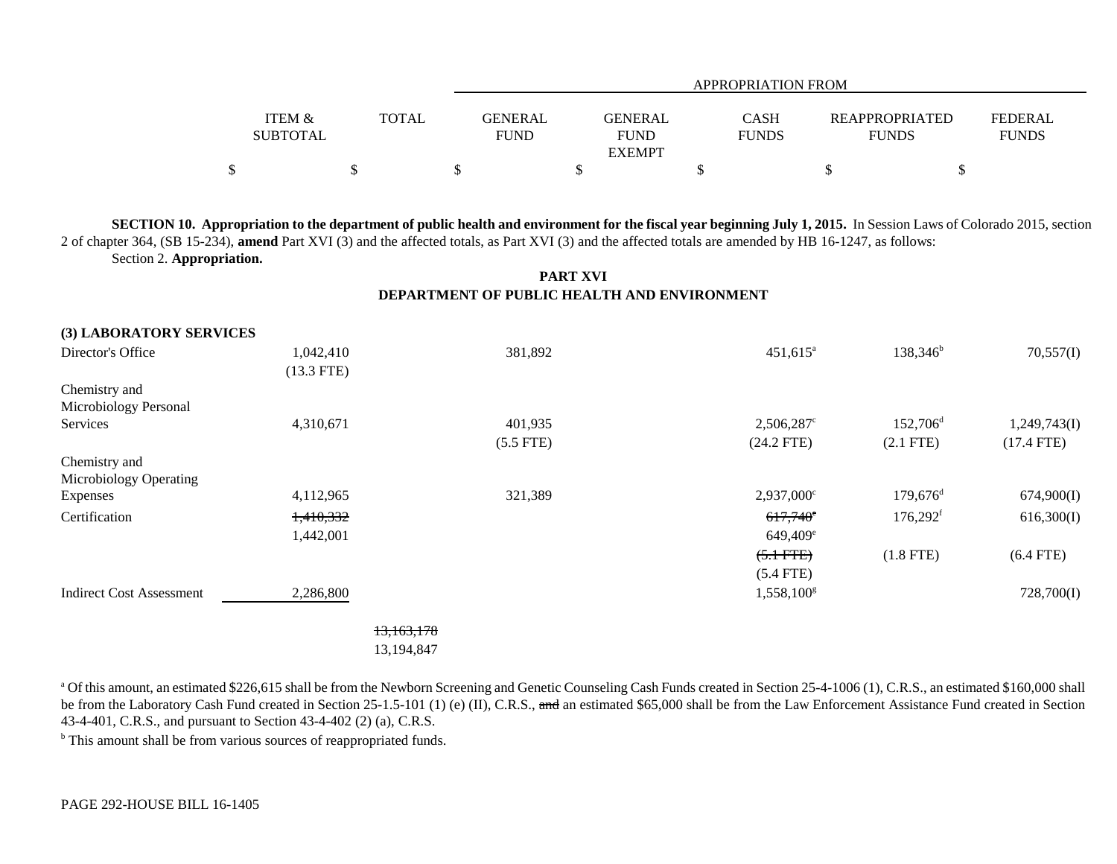|                   |              |                | APPROPRIATION FROM |              |                       |                |  |  |
|-------------------|--------------|----------------|--------------------|--------------|-----------------------|----------------|--|--|
|                   |              |                |                    |              |                       |                |  |  |
| <b>ITEM &amp;</b> | <b>TOTAL</b> | <b>GENERAL</b> | <b>GENERAL</b>     | CASH         | <b>REAPPROPRIATED</b> | <b>FEDERAL</b> |  |  |
| <b>SUBTOTAL</b>   |              | <b>FUND</b>    | <b>FUND</b>        | <b>FUNDS</b> | <b>FUNDS</b>          | <b>FUNDS</b>   |  |  |
|                   |              |                | <b>EXEMPT</b>      |              |                       |                |  |  |
|                   |              |                |                    |              |                       |                |  |  |

**SECTION 10. Appropriation to the department of public health and environment for the fiscal year beginning July 1, 2015.** In Session Laws of Colorado 2015, section 2 of chapter 364, (SB 15-234), **amend** Part XVI (3) and the affected totals, as Part XVI (3) and the affected totals are amended by HB 16-1247, as follows: Section 2. **Appropriation.**

## **PART XVI DEPARTMENT OF PUBLIC HEALTH AND ENVIRONMENT**

| (3) LABORATORY SERVICES         |              |             |                     |                        |              |
|---------------------------------|--------------|-------------|---------------------|------------------------|--------------|
| Director's Office               | 1,042,410    | 381,892     | $451,615^{\circ}$   | $138,346^b$            | 70,557(I)    |
|                                 | $(13.3$ FTE) |             |                     |                        |              |
| Chemistry and                   |              |             |                     |                        |              |
| Microbiology Personal           |              |             |                     |                        |              |
| Services                        | 4,310,671    | 401,935     | 2,506,287°          | $152,706^{\rm d}$      | 1,249,743(I) |
|                                 |              | $(5.5$ FTE) | $(24.2$ FTE)        | $(2.1$ FTE)            | $(17.4$ FTE) |
| Chemistry and                   |              |             |                     |                        |              |
| Microbiology Operating          |              |             |                     |                        |              |
| Expenses                        | 4,112,965    | 321,389     | $2,937,000^{\circ}$ | $179,676$ <sup>d</sup> | 674,900(I)   |
| Certification                   | 1,410,332    |             | $617,740^\circ$     | $176,292$ <sup>f</sup> | 616,300(I)   |
|                                 | 1,442,001    |             | $649,409^e$         |                        |              |
|                                 |              |             | $(5.1$ FTE)         | $(1.8$ FTE)            | $(6.4$ FTE)  |
|                                 |              |             | $(5.4$ FTE)         |                        |              |
| <b>Indirect Cost Assessment</b> | 2,286,800    |             | $1,558,100^g$       |                        | 728,700(I)   |
|                                 | 13,163,178   |             |                     |                        |              |
|                                 | 13,194,847   |             |                     |                        |              |

<sup>a</sup> Of this amount, an estimated \$226,615 shall be from the Newborn Screening and Genetic Counseling Cash Funds created in Section 25-4-1006 (1), C.R.S., an estimated \$160,000 shall be from the Laboratory Cash Fund created in Section 25-1.5-101 (1) (e) (II), C.R.S., and an estimated \$65,000 shall be from the Law Enforcement Assistance Fund created in Section 43-4-401, C.R.S., and pursuant to Section 43-4-402 (2) (a), C.R.S.

<sup>b</sup> This amount shall be from various sources of reappropriated funds.